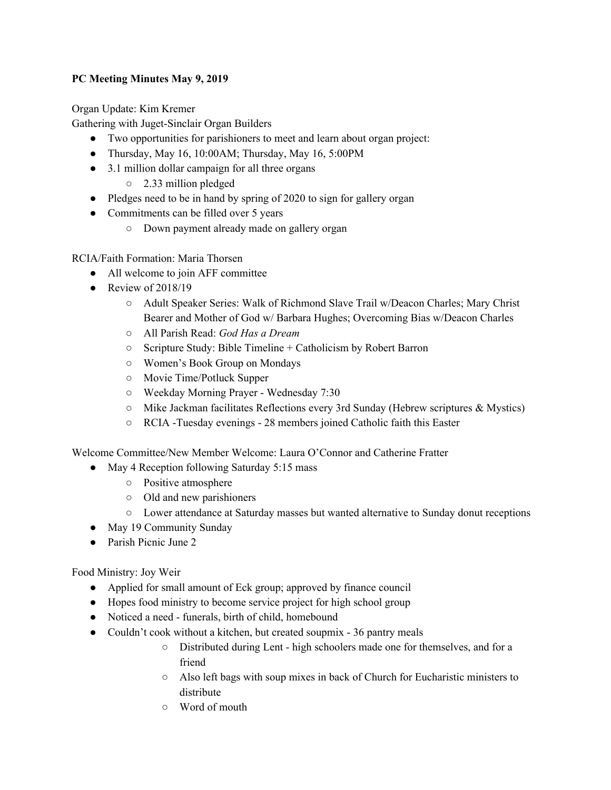## **PC Meeting Minutes May 9, 2019**

Organ Update: Kim Kremer

Gathering with Juget-Sinclair Organ Builders

- Two opportunities for parishioners to meet and learn about organ project:
- Thursday, May 16, 10:00AM; Thursday, May 16, 5:00PM
- 3.1 million dollar campaign for all three organs
	- 2.33 million pledged
- Pledges need to be in hand by spring of 2020 to sign for gallery organ
- Commitments can be filled over 5 years
	- Down payment already made on gallery organ

RCIA/Faith Formation: Maria Thorsen

- All welcome to join AFF committee
- Review of  $2018/19$ 
	- Adult Speaker Series: Walk of Richmond Slave Trail w/Deacon Charles; Mary Christ Bearer and Mother of God w/ Barbara Hughes; Overcoming Bias w/Deacon Charles
	- All Parish Read: *God Has a Dream*
	- Scripture Study: Bible Timeline + Catholicism by Robert Barron
	- Women's Book Group on Mondays
	- Movie Time/Potluck Supper
	- Weekday Morning Prayer Wednesday 7:30
	- $\circ$  Mike Jackman facilitates Reflections every 3rd Sunday (Hebrew scriptures & Mystics)
	- RCIA -Tuesday evenings 28 members joined Catholic faith this Easter

Welcome Committee/New Member Welcome: Laura O'Connor and Catherine Fratter

- May 4 Reception following Saturday 5:15 mass
	- Positive atmosphere
	- Old and new parishioners
	- Lower attendance at Saturday masses but wanted alternative to Sunday donut receptions
- May 19 Community Sunday
- Parish Picnic June 2

Food Ministry: Joy Weir

- Applied for small amount of Eck group; approved by finance council
- Hopes food ministry to become service project for high school group
- Noticed a need funerals, birth of child, homebound
- Couldn't cook without a kitchen, but created soupmix 36 pantry meals
	- Distributed during Lent high schoolers made one for themselves, and for a friend
	- Also left bags with soup mixes in back of Church for Eucharistic ministers to distribute
	- Word of mouth